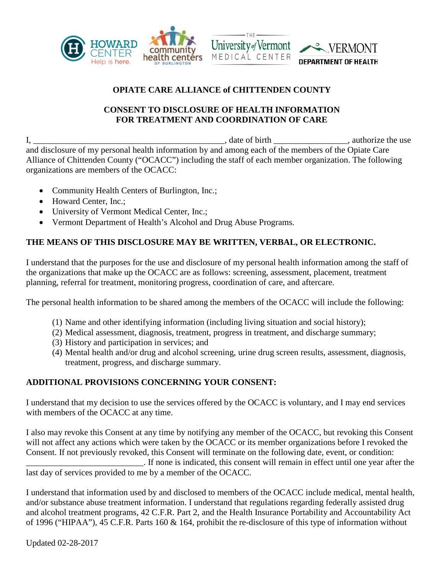

## **OPIATE CARE ALLIANCE of CHITTENDEN COUNTY**

## **CONSENT TO DISCLOSURE OF HEALTH INFORMATION FOR TREATMENT AND COORDINATION OF CARE**

I, \_\_\_\_\_\_\_\_\_\_\_\_\_\_\_\_\_\_\_\_\_\_\_\_\_\_\_\_\_\_\_\_\_\_\_\_\_\_\_\_\_\_\_\_, date of birth \_\_\_\_\_\_\_\_\_\_\_\_\_\_\_\_\_, authorize the use and disclosure of my personal health information by and among each of the members of the Opiate Care Alliance of Chittenden County ("OCACC") including the staff of each member organization. The following organizations are members of the OCACC:

- Community Health Centers of Burlington, Inc.;
- Howard Center, Inc.;
- University of Vermont Medical Center, Inc.;
- Vermont Department of Health's Alcohol and Drug Abuse Programs.

## **THE MEANS OF THIS DISCLOSURE MAY BE WRITTEN, VERBAL, OR ELECTRONIC.**

I understand that the purposes for the use and disclosure of my personal health information among the staff of the organizations that make up the OCACC are as follows: screening, assessment, placement, treatment planning, referral for treatment, monitoring progress, coordination of care, and aftercare.

The personal health information to be shared among the members of the OCACC will include the following:

- (1) Name and other identifying information (including living situation and social history);
- (2) Medical assessment, diagnosis, treatment, progress in treatment, and discharge summary;
- (3) History and participation in services; and
- (4) Mental health and/or drug and alcohol screening, urine drug screen results, assessment, diagnosis, treatment, progress, and discharge summary.

## **ADDITIONAL PROVISIONS CONCERNING YOUR CONSENT:**

I understand that my decision to use the services offered by the OCACC is voluntary, and I may end services with members of the OCACC at any time.

I also may revoke this Consent at any time by notifying any member of the OCACC, but revoking this Consent will not affect any actions which were taken by the OCACC or its member organizations before I revoked the Consent. If not previously revoked, this Consent will terminate on the following date, event, or condition: \_\_\_\_\_\_\_\_\_\_\_\_\_\_\_\_\_\_\_\_\_\_\_\_\_\_\_. If none is indicated, this consent will remain in effect until one year after the

last day of services provided to me by a member of the OCACC.

I understand that information used by and disclosed to members of the OCACC include medical, mental health, and/or substance abuse treatment information. I understand that regulations regarding federally assisted drug and alcohol treatment programs, 42 C.F.R. Part 2, and the Health Insurance Portability and Accountability Act of 1996 ("HIPAA"), 45 C.F.R. Parts 160 & 164, prohibit the re-disclosure of this type of information without

Updated 02-28-2017